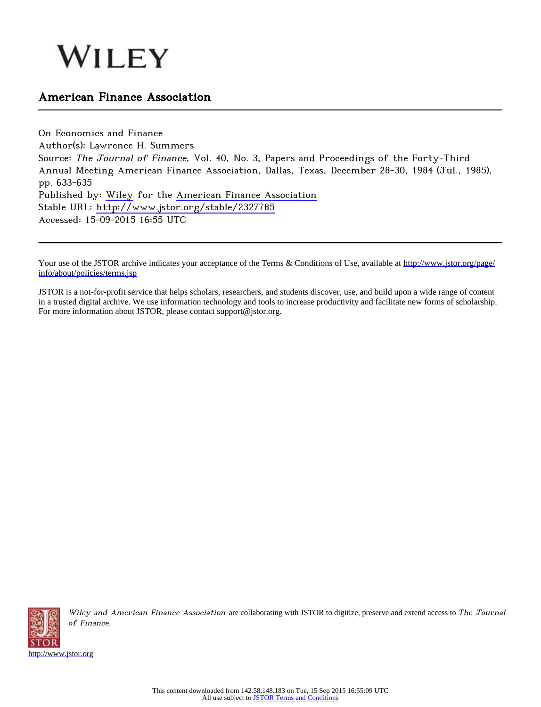# WILEY

## American Finance Association

On Economics and Finance Author(s): Lawrence H. Summers Source: The Journal of Finance, Vol. 40, No. 3, Papers and Proceedings of the Forty-Third Annual Meeting American Finance Association, Dallas, Texas, December 28-30, 1984 (Jul., 1985), pp. 633-635 Published by: [Wiley](http://www.jstor.org/action/showPublisher?publisherCode=black) for the [American Finance Association](http://www.jstor.org/action/showPublisher?publisherCode=afina) Stable URL: <http://www.jstor.org/stable/2327785> Accessed: 15-09-2015 16:55 UTC

Your use of the JSTOR archive indicates your acceptance of the Terms & Conditions of Use, available at [http://www.jstor.org/page/](http://www.jstor.org/page/info/about/policies/terms.jsp) [info/about/policies/terms.jsp](http://www.jstor.org/page/info/about/policies/terms.jsp)

JSTOR is a not-for-profit service that helps scholars, researchers, and students discover, use, and build upon a wide range of content in a trusted digital archive. We use information technology and tools to increase productivity and facilitate new forms of scholarship. For more information about JSTOR, please contact support@jstor.org.



Wiley and American Finance Association are collaborating with JSTOR to digitize, preserve and extend access to The Journal of Finance.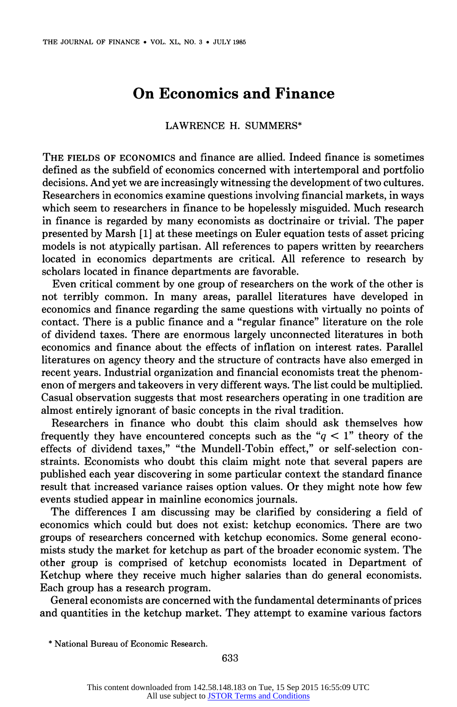## **On Economics and Finance**

### **LAWRENCE H. SUMMERS\***

**THE FIELDS OF ECONOMICS and finance are allied. Indeed finance is sometimes defined as the subfield of economics concerned with intertemporal and portfolio decisions. And yet we are increasingly witnessing the development of two cultures. Researchers in economics examine questions involving financial markets, in ways which seem to researchers in finance to be hopelessly misguided. Much research in finance is regarded by many economists as doctrinaire or trivial. The paper presented by Marsh [1] at these meetings on Euler equation tests of asset pricing models is not atypically partisan. All references to papers written by reearchers located in economics departments are critical. All reference to research by scholars located in finance departments are favorable.** 

**Even critical comment by one group of researchers on the work of the other is not terribly common. In many areas, parallel literatures have developed in economics and finance regarding the same questions with virtually no points of contact. There is a public finance and a "regular finance" literature on the role of dividend taxes. There are enormous largely unconnected literatures in both economics and finance about the effects of inflation on interest rates. Parallel literatures on agency theory and the structure of contracts have also emerged in recent years. Industrial organization and financial economists treat the phenomenon of mergers and takeovers in very different ways. The list could be multiplied. Casual observation suggests that most researchers operating in one tradition are almost entirely ignorant of basic concepts in the rival tradition.** 

**Researchers in finance who doubt this claim should ask themselves how**  frequently they have encountered concepts such as the " $q < 1$ " theory of the **effects of dividend taxes," "the Mundell-Tobin effect," or self-selection constraints. Economists who doubt this claim might note that several papers are published each year discovering in some particular context the standard finance result that increased variance raises option values. Or they might note how few events studied appear in mainline economics journals.** 

**The differences I am discussing may be clarified by considering a field of economics which could but does not exist: ketchup economics. There are two groups of researchers concerned with ketchup economics. Some general economists study the market for ketchup as part of the broader economic system. The other group is comprised of ketchup economists located in Department of Ketchup where they receive much higher salaries than do general economists. Each group has a research program.** 

**General economists are concerned with the fundamental determinants of prices and quantities in the ketchup market. They attempt to examine various factors** 

**<sup>\*</sup> National Bureau of Economic Research.**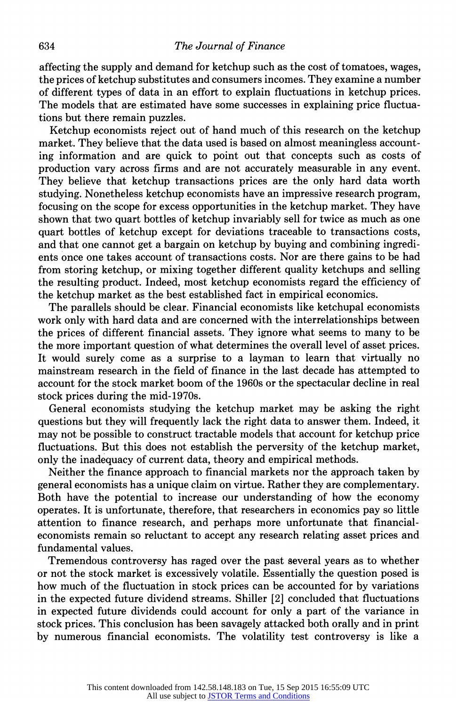**affecting the supply and demand for ketchup such as the cost of tomatoes, wages, the prices of ketchup substitutes and consumers incomes. They examine a number of different types of data in an effort to explain fluctuations in ketchup prices. The models that are estimated have some successes in explaining price fluctuations but there remain puzzles.** 

**Ketchup economists reject out of hand much of this research on the ketchup market. They believe that the data used is based on almost meaningless accounting information and are quick to point out that concepts such as costs of production vary across firms and are not accurately measurable in any event. They believe that ketchup transactions prices are the only hard data worth studying. Nonetheless ketchup economists have an impressive research program, focusing on the scope for excess opportunities in the ketchup market. They have shown that two quart bottles of ketchup invariably sell for twice as much as one quart bottles of ketchup except for deviations traceable to transactions costs, and that one cannot get a bargain on ketchup by buying and combining ingredients once one takes account of transactions costs. Nor are there gains to be had from storing ketchup, or mixing together different quality ketchups and selling the resulting product. Indeed, most ketchup economists regard the efficiency of the ketchup market as the best established fact in empirical economics.** 

**The parallels should be clear. Financial economists like ketchupal economists work only with hard data and are concerned with the interrelationships between the prices of different financial assets. They ignore what seems to many to be the more important question of what determines the overall level of asset prices. It would surely come as a surprise to a layman to learn that virtually no mainstream research in the field of finance in the last decade has attempted to account for the stock market boom of the 1960s or the spectacular decline in real stock prices during the mid-1970s.** 

**General economists studying the ketchup market may be asking the right questions but they will frequently lack the right data to answer them. Indeed, it may not be possible to construct tractable models that account for ketchup price fluctuations. But this does not establish the perversity of the ketchup market, only the inadequacy of current data, theory and empirical methods.** 

**Neither the finance approach to financial markets nor the approach taken by general economists has a unique claim on virtue. Rather they are complementary. Both have the potential to increase our understanding of how the economy operates. It is unfortunate, therefore, that researchers in economics pay so little attention to finance research, and perhaps more unfortunate that financialeconomists remain so reluctant to accept any research relating asset prices and fundamental values.** 

**Tremendous controversy has raged over the past several years as to whether or not the stock market is excessively volatile. Essentially the question posed is how much of the fluctuation in stock prices can be accounted for by variations in the expected future dividend streams. Shiller [2] concluded that fluctuations in expected future dividends could account for only a part of the variance in stock prices. This conclusion has been savagely attacked both orally and in print by numerous financial economists. The volatility test controversy is like a**